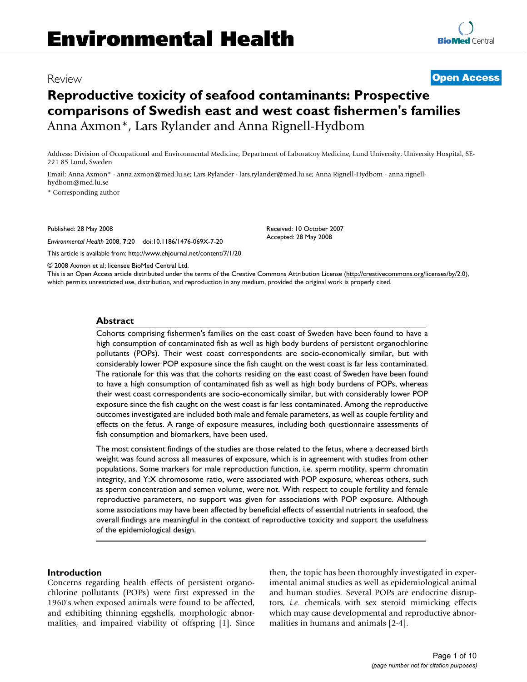# Review **[Open Access](http://www.biomedcentral.com/info/about/charter/)**

# **Reproductive toxicity of seafood contaminants: Prospective comparisons of Swedish east and west coast fishermen's families** Anna Axmon\*, Lars Rylander and Anna Rignell-Hydbom

Address: Division of Occupational and Environmental Medicine, Department of Laboratory Medicine, Lund University, University Hospital, SE-221 85 Lund, Sweden

Email: Anna Axmon\* - anna.axmon@med.lu.se; Lars Rylander - lars.rylander@med.lu.se; Anna Rignell-Hydbom - anna.rignellhydbom@med.lu.se

\* Corresponding author

Published: 28 May 2008

*Environmental Health* 2008, **7**:20 doi:10.1186/1476-069X-7-20

[This article is available from: http://www.ehjournal.net/content/7/1/20](http://www.ehjournal.net/content/7/1/20)

© 2008 Axmon et al; licensee BioMed Central Ltd.

This is an Open Access article distributed under the terms of the Creative Commons Attribution License [\(http://creativecommons.org/licenses/by/2.0\)](http://creativecommons.org/licenses/by/2.0), which permits unrestricted use, distribution, and reproduction in any medium, provided the original work is properly cited.

Received: 10 October 2007 Accepted: 28 May 2008

#### **Abstract**

Cohorts comprising fishermen's families on the east coast of Sweden have been found to have a high consumption of contaminated fish as well as high body burdens of persistent organochlorine pollutants (POPs). Their west coast correspondents are socio-economically similar, but with considerably lower POP exposure since the fish caught on the west coast is far less contaminated. The rationale for this was that the cohorts residing on the east coast of Sweden have been found to have a high consumption of contaminated fish as well as high body burdens of POPs, whereas their west coast correspondents are socio-economically similar, but with considerably lower POP exposure since the fish caught on the west coast is far less contaminated. Among the reproductive outcomes investigated are included both male and female parameters, as well as couple fertility and effects on the fetus. A range of exposure measures, including both questionnaire assessments of fish consumption and biomarkers, have been used.

The most consistent findings of the studies are those related to the fetus, where a decreased birth weight was found across all measures of exposure, which is in agreement with studies from other populations. Some markers for male reproduction function, i.e. sperm motility, sperm chromatin integrity, and Y:X chromosome ratio, were associated with POP exposure, whereas others, such as sperm concentration and semen volume, were not. With respect to couple fertility and female reproductive parameters, no support was given for associations with POP exposure. Although some associations may have been affected by beneficial effects of essential nutrients in seafood, the overall findings are meaningful in the context of reproductive toxicity and support the usefulness of the epidemiological design.

#### **Introduction**

Concerns regarding health effects of persistent organochlorine pollutants (POPs) were first expressed in the 1960's when exposed animals were found to be affected, and exhibiting thinning eggshells, morphologic abnormalities, and impaired viability of offspring [1]. Since then, the topic has been thoroughly investigated in experimental animal studies as well as epidemiological animal and human studies. Several POPs are endocrine disruptors, *i.e*. chemicals with sex steroid mimicking effects which may cause developmental and reproductive abnormalities in humans and animals [2-4].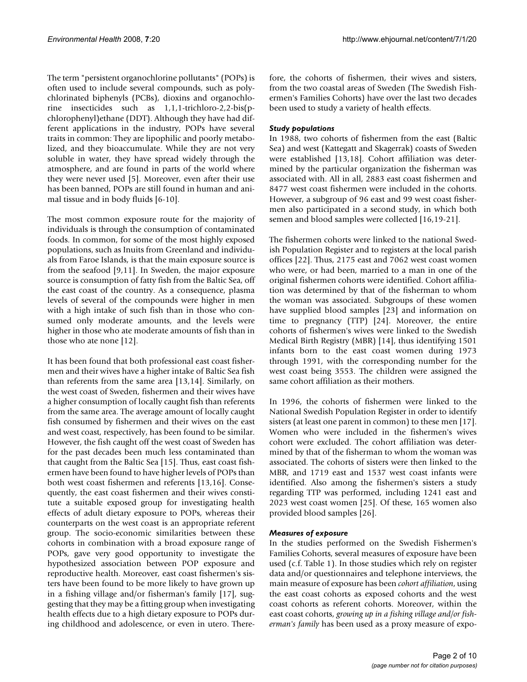The term "persistent organochlorine pollutants" (POPs) is often used to include several compounds, such as polychlorinated biphenyls (PCBs), dioxins and organochlorine insecticides such as 1,1,1-trichloro-2,2-bis(pchlorophenyl)ethane (DDT). Although they have had different applications in the industry, POPs have several traits in common: They are lipophilic and poorly metabolized, and they bioaccumulate. While they are not very soluble in water, they have spread widely through the atmosphere, and are found in parts of the world where they were never used [5]. Moreover, even after their use has been banned, POPs are still found in human and animal tissue and in body fluids [6-10].

The most common exposure route for the majority of individuals is through the consumption of contaminated foods. In common, for some of the most highly exposed populations, such as Inuits from Greenland and individuals from Faroe Islands, is that the main exposure source is from the seafood [9,11]. In Sweden, the major exposure source is consumption of fatty fish from the Baltic Sea, off the east coast of the country. As a consequence, plasma levels of several of the compounds were higher in men with a high intake of such fish than in those who consumed only moderate amounts, and the levels were higher in those who ate moderate amounts of fish than in those who ate none [12].

It has been found that both professional east coast fishermen and their wives have a higher intake of Baltic Sea fish than referents from the same area [13,14]. Similarly, on the west coast of Sweden, fishermen and their wives have a higher consumption of locally caught fish than referents from the same area. The average amount of locally caught fish consumed by fishermen and their wives on the east and west coast, respectively, has been found to be similar. However, the fish caught off the west coast of Sweden has for the past decades been much less contaminated than that caught from the Baltic Sea [15]. Thus, east coast fishermen have been found to have higher levels of POPs than both west coast fishermen and referents [13,16]. Consequently, the east coast fishermen and their wives constitute a suitable exposed group for investigating health effects of adult dietary exposure to POPs, whereas their counterparts on the west coast is an appropriate referent group. The socio-economic similarities between these cohorts in combination with a broad exposure range of POPs, gave very good opportunity to investigate the hypothesized association between POP exposure and reproductive health. Moreover, east coast fishermen's sisters have been found to be more likely to have grown up in a fishing village and/or fisherman's family [17], suggesting that they may be a fitting group when investigating health effects due to a high dietary exposure to POPs during childhood and adolescence, or even in utero. Therefore, the cohorts of fishermen, their wives and sisters, from the two coastal areas of Sweden (The Swedish Fishermen's Families Cohorts) have over the last two decades been used to study a variety of health effects.

# *Study populations*

In 1988, two cohorts of fishermen from the east (Baltic Sea) and west (Kattegatt and Skagerrak) coasts of Sweden were established [13,18]. Cohort affiliation was determined by the particular organization the fisherman was associated with. All in all, 2883 east coast fishermen and 8477 west coast fishermen were included in the cohorts. However, a subgroup of 96 east and 99 west coast fishermen also participated in a second study, in which both semen and blood samples were collected [16,19-21].

The fishermen cohorts were linked to the national Swedish Population Register and to registers at the local parish offices [22]. Thus, 2175 east and 7062 west coast women who were, or had been, married to a man in one of the original fishermen cohorts were identified. Cohort affiliation was determined by that of the fisherman to whom the woman was associated. Subgroups of these women have supplied blood samples [23] and information on time to pregnancy (TTP) [24]. Moreover, the entire cohorts of fishermen's wives were linked to the Swedish Medical Birth Registry (MBR) [14], thus identifying 1501 infants born to the east coast women during 1973 through 1991, with the corresponding number for the west coast being 3553. The children were assigned the same cohort affiliation as their mothers.

In 1996, the cohorts of fishermen were linked to the National Swedish Population Register in order to identify sisters (at least one parent in common) to these men [17]. Women who were included in the fishermen's wives cohort were excluded. The cohort affiliation was determined by that of the fisherman to whom the woman was associated. The cohorts of sisters were then linked to the MBR, and 1719 east and 1537 west coast infants were identified. Also among the fishermen's sisters a study regarding TTP was performed, including 1241 east and 2023 west coast women [25]. Of these, 165 women also provided blood samples [26].

# *Measures of exposure*

In the studies performed on the Swedish Fishermen's Families Cohorts, several measures of exposure have been used (c.f. Table 1). In those studies which rely on register data and/or questionnaires and telephone interviews, the main measure of exposure has been *cohort affiliation*, using the east coast cohorts as exposed cohorts and the west coast cohorts as referent cohorts. Moreover, within the east coast cohorts, *growing up in a fishing village and/or fisherman's family* has been used as a proxy measure of expo-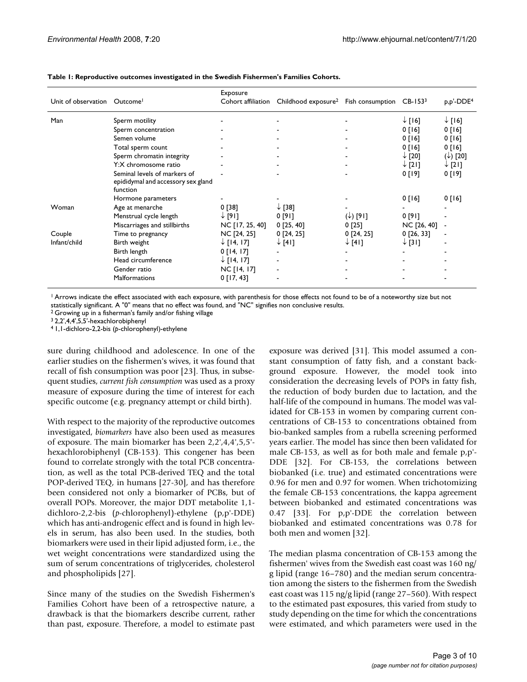| Unit of observation Outcome <sup>1</sup> |                                                                                         | Exposure<br>Cohort affiliation                                                               | Childhood exposure <sup>2</sup> Fish consumption |                               | $CB-1533$                         | $p, p'$ -DDE <sup>4</sup> |
|------------------------------------------|-----------------------------------------------------------------------------------------|----------------------------------------------------------------------------------------------|--------------------------------------------------|-------------------------------|-----------------------------------|---------------------------|
| Man                                      | Sperm motility                                                                          |                                                                                              |                                                  |                               | $\downarrow$ [16]                 | $\downarrow$ [16]         |
|                                          | Sperm concentration                                                                     |                                                                                              |                                                  |                               | $0$ [16]                          | $0$ [16]                  |
|                                          | Semen volume                                                                            |                                                                                              |                                                  |                               | $0$ [16]                          | 0[16]                     |
|                                          | Total sperm count                                                                       |                                                                                              |                                                  |                               | $0$ [16]                          | $0$ [16]                  |
|                                          | Sperm chromatin integrity                                                               |                                                                                              |                                                  |                               | $\downarrow$ [20]                 | $(\downarrow)$ [20]       |
|                                          | Y:X chromosome ratio                                                                    |                                                                                              |                                                  |                               | $\downarrow$ [21]                 | $\downarrow$ [21]         |
|                                          | Seminal levels of markers of<br>epididymal and accessory sex gland<br>function          |                                                                                              |                                                  |                               | 0 [19]                            | 0 [19]                    |
|                                          | Hormone parameters                                                                      |                                                                                              |                                                  |                               | 0 [16]                            | 0 [16]                    |
| Woman                                    | Age at menarche<br>Menstrual cycle length<br>Miscarriages and stillbirths               | 0 [38]<br>$\downarrow$ [91]<br>NC [17, 25, 40]                                               | $\downarrow$ [38]<br>0 [9]<br>$0$ [25, 40]       | $(\downarrow)$ [91]<br>0 [25] | 0 [9]<br>NC [26, 40]              | $\blacksquare$            |
| Couple<br>Infant/child                   | Time to pregnancy<br>Birth weight<br>Birth length<br>Head circumference<br>Gender ratio | NC [24, 25]<br>$\downarrow$ [14, 17]<br>$0$ [14, 17]<br>$\downarrow$ [14, 17]<br>NC [14, 17] | 0 [24, 25]<br>$\downarrow$ [41]                  | $0$ [24, 25]<br>↓[4I]         | $0$ [26, 33]<br>$\downarrow$ [31] |                           |
|                                          | Malformations                                                                           | $0$ [17, 43]                                                                                 |                                                  |                               |                                   |                           |

#### **Table 1: Reproductive outcomes investigated in the Swedish Fishermen's Families Cohorts.**

<sup>1</sup> Arrows indicate the effect associated with each exposure, with parenthesis for those effects not found to be of a noteworthy size but not statistically significant. A "0" means that no effect was found, and "NC" signifies non conclusive results.

2 Growing up in a fisherman's family and/or fishing village

3 2,2',4,4',5,5'-hexachlorobiphenyl

4 1,1-dichloro-2,2-bis (*p*-chlorophenyl)-ethylene

sure during childhood and adolescence. In one of the earlier studies on the fishermen's wives, it was found that recall of fish consumption was poor [23]. Thus, in subsequent studies, *current fish consumption* was used as a proxy measure of exposure during the time of interest for each specific outcome (e.g. pregnancy attempt or child birth).

With respect to the majority of the reproductive outcomes investigated, *biomarkers* have also been used as measures of exposure. The main biomarker has been 2,2',4,4',5,5' hexachlorobiphenyl (CB-153). This congener has been found to correlate strongly with the total PCB concentration, as well as the total PCB-derived TEQ and the total POP-derived TEQ, in humans [27-30], and has therefore been considered not only a biomarker of PCBs, but of overall POPs. Moreover, the major DDT metabolite 1,1 dichloro-2,2-bis (*p*-chlorophenyl)-ethylene (p,p'-DDE) which has anti-androgenic effect and is found in high levels in serum, has also been used. In the studies, both biomarkers were used in their lipid adjusted form, i.e., the wet weight concentrations were standardized using the sum of serum concentrations of triglycerides, cholesterol and phospholipids [27].

Since many of the studies on the Swedish Fishermen's Families Cohort have been of a retrospective nature, a drawback is that the biomarkers describe current, rather than past, exposure. Therefore, a model to estimate past exposure was derived [31]. This model assumed a constant consumption of fatty fish, and a constant background exposure. However, the model took into consideration the decreasing levels of POPs in fatty fish, the reduction of body burden due to lactation, and the half-life of the compound in humans. The model was validated for CB-153 in women by comparing current concentrations of CB-153 to concentrations obtained from bio-banked samples from a rubella screening performed years earlier. The model has since then been validated for male CB-153, as well as for both male and female p,p'- DDE [32]. For CB-153, the correlations between biobanked (i.e. true) and estimated concentrations were 0.96 for men and 0.97 for women. When trichotomizing the female CB-153 concentrations, the kappa agreement between biobanked and estimated concentrations was 0.47 [33]. For p,p'-DDE the correlation between biobanked and estimated concentrations was 0.78 for both men and women [32].

The median plasma concentration of CB-153 among the fishermen' wives from the Swedish east coast was 160 ng/ g lipid (range 16–780) and the median serum concentration among the sisters to the fishermen from the Swedish east coast was 115 ng/g lipid (range 27–560). With respect to the estimated past exposures, this varied from study to study depending on the time for which the concentrations were estimated, and which parameters were used in the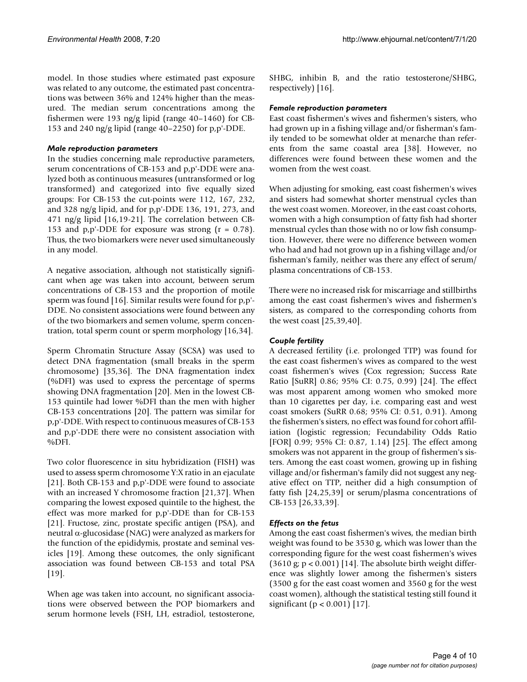model. In those studies where estimated past exposure was related to any outcome, the estimated past concentrations was between 36% and 124% higher than the measured. The median serum concentrations among the fishermen were 193 ng/g lipid (range 40–1460) for CB-153 and 240 ng/g lipid (range 40–2250) for p,p'-DDE.

#### *Male reproduction parameters*

In the studies concerning male reproductive parameters, serum concentrations of CB-153 and p,p'-DDE were analyzed both as continuous measures (untransformed or log transformed) and categorized into five equally sized groups: For CB-153 the cut-points were 112, 167, 232, and 328 ng/g lipid, and for p,p'-DDE 136, 191, 273, and 471 ng/g lipid [16,19-21]. The correlation between CB-153 and p,p'-DDE for exposure was strong  $(r = 0.78)$ . Thus, the two biomarkers were never used simultaneously in any model.

A negative association, although not statistically significant when age was taken into account, between serum concentrations of CB-153 and the proportion of motile sperm was found [16]. Similar results were found for p,p'- DDE. No consistent associations were found between any of the two biomarkers and semen volume, sperm concentration, total sperm count or sperm morphology [16,34].

Sperm Chromatin Structure Assay (SCSA) was used to detect DNA fragmentation (small breaks in the sperm chromosome) [35,36]. The DNA fragmentation index (%DFI) was used to express the percentage of sperms showing DNA fragmentation [20]. Men in the lowest CB-153 quintile had lower %DFI than the men with higher CB-153 concentrations [20]. The pattern was similar for p,p'-DDE. With respect to continuous measures of CB-153 and p,p'-DDE there were no consistent association with %DFI.

Two color fluorescence in situ hybridization (FISH) was used to assess sperm chromosome Y:X ratio in an ejaculate [21]. Both CB-153 and p,p'-DDE were found to associate with an increased Y chromosome fraction [21,37]. When comparing the lowest exposed quintile to the highest, the effect was more marked for p,p'-DDE than for CB-153 [21]. Fructose, zinc, prostate specific antigen (PSA), and neutral α-glucosidase (NAG) were analyzed as markers for the function of the epididymis, prostate and seminal vesicles [19]. Among these outcomes, the only significant association was found between CB-153 and total PSA [19].

When age was taken into account, no significant associations were observed between the POP biomarkers and serum hormone levels (FSH, LH, estradiol, testosterone,

SHBG, inhibin B, and the ratio testosterone/SHBG, respectively) [16].

#### *Female reproduction parameters*

East coast fishermen's wives and fishermen's sisters, who had grown up in a fishing village and/or fisherman's family tended to be somewhat older at menarche than referents from the same coastal area [38]. However, no differences were found between these women and the women from the west coast.

When adjusting for smoking, east coast fishermen's wives and sisters had somewhat shorter menstrual cycles than the west coast women. Moreover, in the east coast cohorts, women with a high consumption of fatty fish had shorter menstrual cycles than those with no or low fish consumption. However, there were no difference between women who had and had not grown up in a fishing village and/or fisherman's family, neither was there any effect of serum/ plasma concentrations of CB-153.

There were no increased risk for miscarriage and stillbirths among the east coast fishermen's wives and fishermen's sisters, as compared to the corresponding cohorts from the west coast [25,39,40].

#### *Couple fertility*

A decreased fertility (i.e. prolonged TTP) was found for the east coast fishermen's wives as compared to the west coast fishermen's wives (Cox regression; Success Rate Ratio [SuRR] 0.86; 95% CI: 0.75, 0.99) [24]. The effect was most apparent among women who smoked more than 10 cigarettes per day, i.e. comparing east and west coast smokers (SuRR 0.68; 95% CI: 0.51, 0.91). Among the fishermen's sisters, no effect was found for cohort affiliation (logistic regression; Fecundability Odds Ratio [FOR] 0.99; 95% CI: 0.87, 1.14) [25]. The effect among smokers was not apparent in the group of fishermen's sisters. Among the east coast women, growing up in fishing village and/or fisherman's family did not suggest any negative effect on TTP, neither did a high consumption of fatty fish [24,25,39] or serum/plasma concentrations of CB-153 [26,33,39].

#### *Effects on the fetus*

Among the east coast fishermen's wives, the median birth weight was found to be 3530 g, which was lower than the corresponding figure for the west coast fishermen's wives  $(3610 \text{ g}; \text{p} < 0.001)$  [14]. The absolute birth weight difference was slightly lower among the fishermen's sisters (3500 g for the east coast women and 3560 g for the west coast women), although the statistical testing still found it significant (p < 0.001) [17].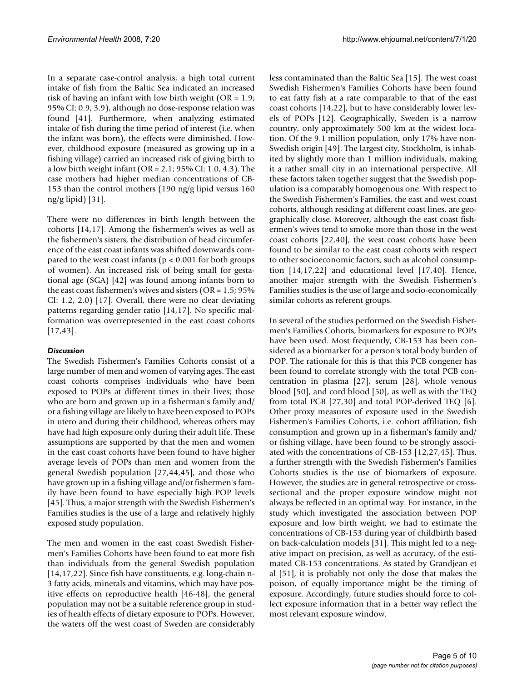In a separate case-control analysis, a high total current intake of fish from the Baltic Sea indicated an increased risk of having an infant with low birth weight ( $OR = 1.9$ ; 95% CI: 0.9, 3.9), although no dose-response relation was found [41]. Furthermore, when analyzing estimated intake of fish during the time period of interest (i.e. when the infant was born), the effects were diminished. However, childhood exposure (measured as growing up in a fishing village) carried an increased risk of giving birth to a low birth weight infant (OR = 2.1; 95% CI: 1.0, 4.3). The case mothers had higher median concentrations of CB-153 than the control mothers (190 ng/g lipid versus 160 ng/g lipid)  $[31]$ .

There were no differences in birth length between the cohorts [14,17]. Among the fishermen's wives as well as the fishermen's sisters, the distribution of head circumference of the east coast infants was shifted downwards compared to the west coast infants ( $p < 0.001$  for both groups of women). An increased risk of being small for gestational age (SGA) [42] was found among infants born to the east coast fishermen's wives and sisters ( $OR = 1.5$ ;  $95\%$ CI: 1.2, 2.0) [17]. Overall, there were no clear deviating patterns regarding gender ratio [14,17]. No specific malformation was overrepresented in the east coast cohorts [17,43].

# *Discussion*

The Swedish Fishermen's Families Cohorts consist of a large number of men and women of varying ages. The east coast cohorts comprises individuals who have been exposed to POPs at different times in their lives; those who are born and grown up in a fisherman's family and/ or a fishing village are likely to have been exposed to POPs in utero and during their childhood, whereas others may have had high exposure only during their adult life. These assumptions are supported by that the men and women in the east coast cohorts have been found to have higher average levels of POPs than men and women from the general Swedish population [27,44,45], and those who have grown up in a fishing village and/or fishermen's family have been found to have especially high POP levels [45]. Thus, a major strength with the Swedish Fishermen's Families studies is the use of a large and relatively highly exposed study population.

The men and women in the east coast Swedish Fishermen's Families Cohorts have been found to eat more fish than individuals from the general Swedish population [14,17,22]. Since fish have constituents, e.g. long-chain n-3 fatty acids, minerals and vitamins, which may have positive effects on reproductive health [46-48], the general population may not be a suitable reference group in studies of health effects of dietary exposure to POPs. However, the waters off the west coast of Sweden are considerably less contaminated than the Baltic Sea [15]. The west coast Swedish Fishermen's Families Cohorts have been found to eat fatty fish at a rate comparable to that of the east coast cohorts [14,22], but to have considerably lower levels of POPs [12]. Geographically, Sweden is a narrow country, only approximately 500 km at the widest location. Of the 9.1 million population, only 17% have non-Swedish origin [49]. The largest city, Stockholm, is inhabited by slightly more than 1 million individuals, making it a rather small city in an international perspective. All these factors taken together suggest that the Swedish population is a comparably homogenous one. With respect to the Swedish Fishermen's Families, the east and west coast cohorts, although residing at different coast lines, are geographically close. Moreover, although the east coast fishermen's wives tend to smoke more than those in the west coast cohorts [22,40], the west coast cohorts have been found to be similar to the east coast cohorts with respect to other socioeconomic factors, such as alcohol consumption [14,17,22] and educational level [17,40]. Hence, another major strength with the Swedish Fishermen's Families studies is the use of large and socio-economically similar cohorts as referent groups.

In several of the studies performed on the Swedish Fishermen's Families Cohorts, biomarkers for exposure to POPs have been used. Most frequently, CB-153 has been considered as a biomarker for a person's total body burden of POP. The rationale for this is that this PCB congener has been found to correlate strongly with the total PCB concentration in plasma [27], serum [28], whole venous blood [50], and cord blood [50], as well as with the TEQ from total PCB [27,30] and total POP-derived TEQ [6]. Other proxy measures of exposure used in the Swedish Fishermen's Families Cohorts, i.e. cohort affiliation, fish consumption and grown up in a fisherman's family and/ or fishing village, have been found to be strongly associated with the concentrations of CB-153 [12,27,45]. Thus, a further strength with the Swedish Fishermen's Families Cohorts studies is the use of biomarkers of exposure. However, the studies are in general retrospective or crosssectional and the proper exposure window might not always be reflected in an optimal way. For instance, in the study which investigated the association between POP exposure and low birth weight, we had to estimate the concentrations of CB-153 during year of childbirth based on back-calculation models [31]. This might led to a negative impact on precision, as well as accuracy, of the estimated CB-153 concentrations. As stated by Grandjean et al [51], it is probably not only the dose that makes the poison, of equally importance might be the timing of exposure. Accordingly, future studies should force to collect exposure information that in a better way reflect the most relevant exposure window.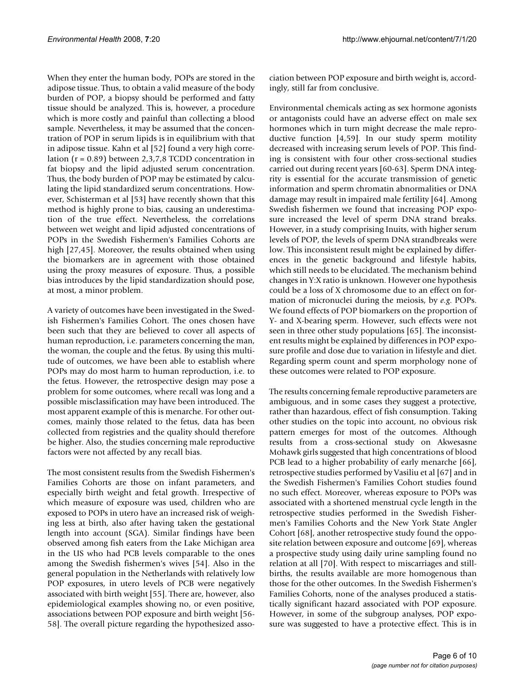When they enter the human body, POPs are stored in the adipose tissue. Thus, to obtain a valid measure of the body burden of POP, a biopsy should be performed and fatty tissue should be analyzed. This is, however, a procedure which is more costly and painful than collecting a blood sample. Nevertheless, it may be assumed that the concentration of POP in serum lipids is in equilibrium with that in adipose tissue. Kahn et al [52] found a very high correlation ( $r = 0.89$ ) between 2,3,7,8 TCDD concentration in fat biopsy and the lipid adjusted serum concentration. Thus, the body burden of POP may be estimated by calculating the lipid standardized serum concentrations. However, Schisterman et al [53] have recently shown that this method is highly prone to bias, causing an underestimation of the true effect. Nevertheless, the correlations between wet weight and lipid adjusted concentrations of POPs in the Swedish Fishermen's Families Cohorts are high [27,45]. Moreover, the results obtained when using the biomarkers are in agreement with those obtained using the proxy measures of exposure. Thus, a possible bias introduces by the lipid standardization should pose, at most, a minor problem.

A variety of outcomes have been investigated in the Swedish Fishermen's Families Cohort. The ones chosen have been such that they are believed to cover all aspects of human reproduction, i.e. parameters concerning the man, the woman, the couple and the fetus. By using this multitude of outcomes, we have been able to establish where POPs may do most harm to human reproduction, i.e. to the fetus. However, the retrospective design may pose a problem for some outcomes, where recall was long and a possible misclassification may have been introduced. The most apparent example of this is menarche. For other outcomes, mainly those related to the fetus, data has been collected from registries and the quality should therefore be higher. Also, the studies concerning male reproductive factors were not affected by any recall bias.

The most consistent results from the Swedish Fishermen's Families Cohorts are those on infant parameters, and especially birth weight and fetal growth. Irrespective of which measure of exposure was used, children who are exposed to POPs in utero have an increased risk of weighing less at birth, also after having taken the gestational length into account (SGA). Similar findings have been observed among fish eaters from the Lake Michigan area in the US who had PCB levels comparable to the ones among the Swedish fishermen's wives [54]. Also in the general population in the Netherlands with relatively low POP exposures, in utero levels of PCB were negatively associated with birth weight [55]. There are, however, also epidemiological examples showing no, or even positive, associations between POP exposure and birth weight [56- 58]. The overall picture regarding the hypothesized association between POP exposure and birth weight is, accordingly, still far from conclusive.

Environmental chemicals acting as sex hormone agonists or antagonists could have an adverse effect on male sex hormones which in turn might decrease the male reproductive function [4,59]. In our study sperm motility decreased with increasing serum levels of POP. This finding is consistent with four other cross-sectional studies carried out during recent years [60-63]. Sperm DNA integrity is essential for the accurate transmission of genetic information and sperm chromatin abnormalities or DNA damage may result in impaired male fertility [64]. Among Swedish fishermen we found that increasing POP exposure increased the level of sperm DNA strand breaks. However, in a study comprising Inuits, with higher serum levels of POP, the levels of sperm DNA strandbreaks were low. This inconsistent result might be explained by differences in the genetic background and lifestyle habits, which still needs to be elucidated. The mechanism behind changes in Y:X ratio is unknown. However one hypothesis could be a loss of X chromosome due to an effect on formation of micronuclei during the meiosis, by *e.g*. POPs. We found effects of POP biomarkers on the proportion of Y- and X-bearing sperm. However, such effects were not seen in three other study populations [65]. The inconsistent results might be explained by differences in POP exposure profile and dose due to variation in lifestyle and diet. Regarding sperm count and sperm morphology none of these outcomes were related to POP exposure.

The results concerning female reproductive parameters are ambiguous, and in some cases they suggest a protective, rather than hazardous, effect of fish consumption. Taking other studies on the topic into account, no obvious risk pattern emerges for most of the outcomes. Although results from a cross-sectional study on Akwesasne Mohawk girls suggested that high concentrations of blood PCB lead to a higher probability of early menarche [66], retrospective studies performed by Vasiliu et al [67] and in the Swedish Fishermen's Families Cohort studies found no such effect. Moreover, whereas exposure to POPs was associated with a shortened menstrual cycle length in the retrospective studies performed in the Swedish Fishermen's Families Cohorts and the New York State Angler Cohort [68], another retrospective study found the opposite relation between exposure and outcome [69], whereas a prospective study using daily urine sampling found no relation at all [70]. With respect to miscarriages and stillbirths, the results available are more homogenous than those for the other outcomes. In the Swedish Fishermen's Families Cohorts, none of the analyses produced a statistically significant hazard associated with POP exposure. However, in some of the subgroup analyses, POP exposure was suggested to have a protective effect. This is in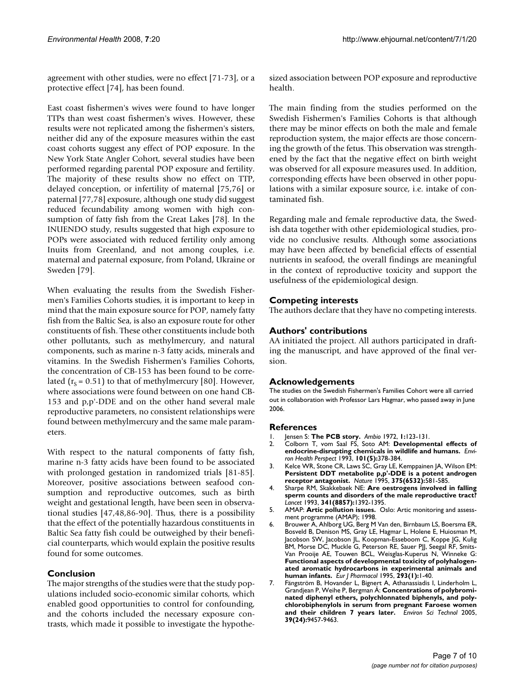agreement with other studies, were no effect [71-73], or a protective effect [74], has been found.

East coast fishermen's wives were found to have longer TTPs than west coast fishermen's wives. However, these results were not replicated among the fishermen's sisters, neither did any of the exposure measures within the east coast cohorts suggest any effect of POP exposure. In the New York State Angler Cohort, several studies have been performed regarding parental POP exposure and fertility. The majority of these results show no effect on TTP, delayed conception, or infertility of maternal [75,76] or paternal [77,78] exposure, although one study did suggest reduced fecundability among women with high consumption of fatty fish from the Great Lakes [78]. In the INUENDO study, results suggested that high exposure to POPs were associated with reduced fertility only among Inuits from Greenland, and not among couples, i.e. maternal and paternal exposure, from Poland, Ukraine or Sweden [79].

When evaluating the results from the Swedish Fishermen's Families Cohorts studies, it is important to keep in mind that the main exposure source for POP, namely fatty fish from the Baltic Sea, is also an exposure route for other constituents of fish. These other constituents include both other pollutants, such as methylmercury, and natural components, such as marine n-3 fatty acids, minerals and vitamins. In the Swedish Fishermen's Families Cohorts, the concentration of CB-153 has been found to be correlated ( $r_s$  = 0.51) to that of methylmercury [80]. However, where associations were found between on one hand CB-153 and p,p'-DDE and on the other hand several male reproductive parameters, no consistent relationships were found between methylmercury and the same male parameters.

With respect to the natural components of fatty fish, marine n-3 fatty acids have been found to be associated with prolonged gestation in randomized trials [81-85]. Moreover, positive associations between seafood consumption and reproductive outcomes, such as birth weight and gestational length, have been seen in observational studies [47,48,86-90]. Thus, there is a possibility that the effect of the potentially hazardous constituents in Baltic Sea fatty fish could be outweighed by their beneficial counterparts, which would explain the positive results found for some outcomes.

# **Conclusion**

The major strengths of the studies were that the study populations included socio-economic similar cohorts, which enabled good opportunities to control for confounding, and the cohorts included the necessary exposure contrasts, which made it possible to investigate the hypothesized association between POP exposure and reproductive health.

The main finding from the studies performed on the Swedish Fishermen's Families Cohorts is that although there may be minor effects on both the male and female reproduction system, the major effects are those concerning the growth of the fetus. This observation was strengthened by the fact that the negative effect on birth weight was observed for all exposure measures used. In addition, corresponding effects have been observed in other populations with a similar exposure source, i.e. intake of contaminated fish.

Regarding male and female reproductive data, the Swedish data together with other epidemiological studies, provide no conclusive results. Although some associations may have been affected by beneficial effects of essential nutrients in seafood, the overall findings are meaningful in the context of reproductive toxicity and support the usefulness of the epidemiological design.

# **Competing interests**

The authors declare that they have no competing interests.

# **Authors' contributions**

AA initiated the project. All authors participated in drafting the manuscript, and have approved of the final version.

# **Acknowledgements**

The studies on the Swedish Fishermen's Families Cohort were all carried out in collaboration with Professor Lars Hagmar, who passed away in June 2006.

# **References**

- 1. Jensen S: **The PCB story.** *Ambio* 1972, **1:**123-131.
- 2. Colborn T, vom Saal FS, Soto AM: **[Developmental effects of](http://www.ncbi.nlm.nih.gov/entrez/query.fcgi?cmd=Retrieve&db=PubMed&dopt=Abstract&list_uids=8080506) [endocrine-disrupting chemicals in wildlife and humans.](http://www.ncbi.nlm.nih.gov/entrez/query.fcgi?cmd=Retrieve&db=PubMed&dopt=Abstract&list_uids=8080506)** *Environ Health Perspect* 1993, **101(5):**378-384.
- 3. Kelce WR, Stone CR, Laws SC, Gray LE, Kemppainen JA, Wilson EM: **[Persistent DDT metabolite p,p'-DDE is a potent androgen](http://www.ncbi.nlm.nih.gov/entrez/query.fcgi?cmd=Retrieve&db=PubMed&dopt=Abstract&list_uids=7791873) [receptor antagonist.](http://www.ncbi.nlm.nih.gov/entrez/query.fcgi?cmd=Retrieve&db=PubMed&dopt=Abstract&list_uids=7791873)** *Nature* 1995, **375(6532):**581-585.
- 4. Sharpe RM, Skakkebaek NE: **[Are oestrogens involved in falling](http://www.ncbi.nlm.nih.gov/entrez/query.fcgi?cmd=Retrieve&db=PubMed&dopt=Abstract&list_uids=8098802) [sperm counts and disorders of the male reproductive tract?](http://www.ncbi.nlm.nih.gov/entrez/query.fcgi?cmd=Retrieve&db=PubMed&dopt=Abstract&list_uids=8098802)** *Lancet* 1993, **341(8857):**1392-1395.
- 5. AMAP: **Artic pollution issues.** Oslo: Artic monitoring and assessment programme (AMAP); 1998.
- 6. Brouwer A, Ahlborg UG, Berg M Van den, Birnbaum LS, Boersma ER, Bosveld B, Denison MS, Gray LE, Hagmar L, Holene E, Huiosman M, Jacobson SW, Jacobson JL, Koopman-Esseboom C, Koppe JG, Kulig BM, Morse DC, Muckle G, Peterson RE, Sauer PJJ, Seegal RF, Smits-Van Prooije AE, Touwen BCL, Weisglas-Kuperus N, Winneke G: **[Functional aspects of developmental toxicity of polyhalogen](http://www.ncbi.nlm.nih.gov/entrez/query.fcgi?cmd=Retrieve&db=PubMed&dopt=Abstract&list_uids=7545581)ated aromatic hydrocarbons in experimental animals and [human infants.](http://www.ncbi.nlm.nih.gov/entrez/query.fcgi?cmd=Retrieve&db=PubMed&dopt=Abstract&list_uids=7545581)** *Eur J Pharmacol* 1995, **293(1):**1-40.
- 7. Fängström B, Hovander L, Bignert A, Athanassiadis I, Linderholm L, Grandjean P, Weihe P, Bergman Å: **[Concentrations of polybromi](http://www.ncbi.nlm.nih.gov/entrez/query.fcgi?cmd=Retrieve&db=PubMed&dopt=Abstract&list_uids=16475322)[nated diphenyl ethers, polychlonnated biphenyls, and poly](http://www.ncbi.nlm.nih.gov/entrez/query.fcgi?cmd=Retrieve&db=PubMed&dopt=Abstract&list_uids=16475322)chlorobiphenylols in serum from pregnant Faroese women [and their children 7 years later.](http://www.ncbi.nlm.nih.gov/entrez/query.fcgi?cmd=Retrieve&db=PubMed&dopt=Abstract&list_uids=16475322)** *Environ Sci Technol* 2005, **39(24):**9457-9463.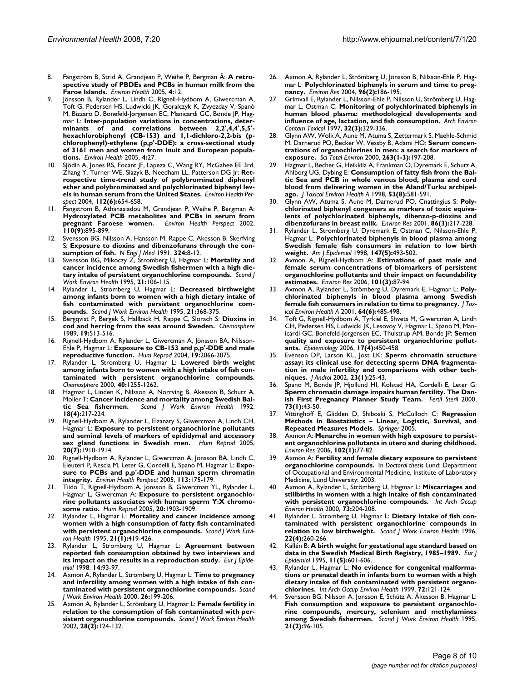- 8. Fängström B, Strid A, Grandjean P, Weihe P, Bergman Å: **[A retro](http://www.ncbi.nlm.nih.gov/entrez/query.fcgi?cmd=Retrieve&db=PubMed&dopt=Abstract&list_uids=16014177)[spective study of PBDEs and PCBs in human milk from the](http://www.ncbi.nlm.nih.gov/entrez/query.fcgi?cmd=Retrieve&db=PubMed&dopt=Abstract&list_uids=16014177) [Faroe Islands.](http://www.ncbi.nlm.nih.gov/entrez/query.fcgi?cmd=Retrieve&db=PubMed&dopt=Abstract&list_uids=16014177)** *Environ Health* 2005, **4:**12.
- 9. Jönsson B, Rylander L, Lindh C, Rignell-Hydbom A, Giwercman A, Toft G, Pedersen HS, Ludwicki JK, Goralczyk K, Zvyezday V, Spanò M, Bizzaro D, Bonefeld-Jørgensen EC, Manicardi GC, Bonde JP, Hagmar L: **[Inter-population variations in concentrations, deter](http://www.ncbi.nlm.nih.gov/entrez/query.fcgi?cmd=Retrieve&db=PubMed&dopt=Abstract&list_uids=16283941)[minants of and correlations between 2,2',4,4',5,5'](http://www.ncbi.nlm.nih.gov/entrez/query.fcgi?cmd=Retrieve&db=PubMed&dopt=Abstract&list_uids=16283941) hexachlorobiphenyl (CB-153) and 1,1-dichloro-2,2-bis (pchlorophenyl)-ethylene (p,p'-DDE): a cross-sectional study of 3161 men and women from Inuit and European popula[tions.](http://www.ncbi.nlm.nih.gov/entrez/query.fcgi?cmd=Retrieve&db=PubMed&dopt=Abstract&list_uids=16283941)** *Environ Health* 2005, **4:**27.
- 10. Sjödin A, Jones RS, Focant JF, Lapeza C, Wang RY, McGahee EE 3rd, Zhang Y, Turner WE, Slazyk B, Needham LL, Patterson DG Jr: **[Ret](http://www.ncbi.nlm.nih.gov/entrez/query.fcgi?cmd=Retrieve&db=PubMed&dopt=Abstract&list_uids=15121506)[rospective time-trend study of polybrominated diphenyl](http://www.ncbi.nlm.nih.gov/entrez/query.fcgi?cmd=Retrieve&db=PubMed&dopt=Abstract&list_uids=15121506) ether and polybrominated and polychlorinated biphenyl lev[els in human serum from the United States.](http://www.ncbi.nlm.nih.gov/entrez/query.fcgi?cmd=Retrieve&db=PubMed&dopt=Abstract&list_uids=15121506)** *Environ Health Perspect* 2004, **112(6):**654-658.
- 11. Fangstrom B, Athanasiadou M, Grandjean P, Weihe P, Bergman A: **[Hydroxylated PCB metabolites and PCBs in serum from](http://www.ncbi.nlm.nih.gov/entrez/query.fcgi?cmd=Retrieve&db=PubMed&dopt=Abstract&list_uids=12204824) [pregnant Faroese women.](http://www.ncbi.nlm.nih.gov/entrez/query.fcgi?cmd=Retrieve&db=PubMed&dopt=Abstract&list_uids=12204824)** *Environ Health Perspect* 2002, **110(9):**895-899.
- 12. Svensson BG, Nilsson A, Hansson M, Rappe C, Akesson B, Skerfving S: **[Exposure to dioxins and dibenzofurans through the con](http://www.ncbi.nlm.nih.gov/entrez/query.fcgi?cmd=Retrieve&db=PubMed&dopt=Abstract&list_uids=1898530)[sumption of fish.](http://www.ncbi.nlm.nih.gov/entrez/query.fcgi?cmd=Retrieve&db=PubMed&dopt=Abstract&list_uids=1898530)** *N Engl J Med* 1991, **324:**8-12.
- 13. Svensson BG, Mikoczy Z, Stromberg U, Hagmar L: **[Mortality and](http://www.ncbi.nlm.nih.gov/entrez/query.fcgi?cmd=Retrieve&db=PubMed&dopt=Abstract&list_uids=7618056) [cancer incidence among Swedish fishermen with a high die](http://www.ncbi.nlm.nih.gov/entrez/query.fcgi?cmd=Retrieve&db=PubMed&dopt=Abstract&list_uids=7618056)[tary intake of persistent organochlorine compounds.](http://www.ncbi.nlm.nih.gov/entrez/query.fcgi?cmd=Retrieve&db=PubMed&dopt=Abstract&list_uids=7618056)** *Scand J Work Environ Health* 1995, **21:**106-115.
- 14. Rylander L, Stromberg U, Hagmar L: **[Decreased birthweight](http://www.ncbi.nlm.nih.gov/entrez/query.fcgi?cmd=Retrieve&db=PubMed&dopt=Abstract&list_uids=8571093) [among infants born to women with a high dietary intake of](http://www.ncbi.nlm.nih.gov/entrez/query.fcgi?cmd=Retrieve&db=PubMed&dopt=Abstract&list_uids=8571093) fish contaminated with persistent organochlorine com[pounds.](http://www.ncbi.nlm.nih.gov/entrez/query.fcgi?cmd=Retrieve&db=PubMed&dopt=Abstract&list_uids=8571093)** *Scand J Work Environ Health* 1995, **21:**368-375.
- 15. Bergqvist P, Bergek S, Hallbäck H, Rappe C, Slorach S: **Dioxins in cod and herring from the seas around Sweden.** *Chemosphere* 1989, **19:**513-516.
- 16. Rignell-Hydbom A, Rylander L, Giwercman A, Jönsson BA, Nilsson-Ehle P, Hagmar L: **[Exposure to CB-153 and p,p'-DDE and male](http://www.ncbi.nlm.nih.gov/entrez/query.fcgi?cmd=Retrieve&db=PubMed&dopt=Abstract&list_uids=15284211) [reproductive function.](http://www.ncbi.nlm.nih.gov/entrez/query.fcgi?cmd=Retrieve&db=PubMed&dopt=Abstract&list_uids=15284211)** *Hum Reprod* 2004, **19:**2066-2075.
- 17. Rylander L, Stromberg U, Hagmar L: **[Lowered birth weight](http://www.ncbi.nlm.nih.gov/entrez/query.fcgi?cmd=Retrieve&db=PubMed&dopt=Abstract&list_uids=10739070) [among infants born to women with a high intake of fish con](http://www.ncbi.nlm.nih.gov/entrez/query.fcgi?cmd=Retrieve&db=PubMed&dopt=Abstract&list_uids=10739070)taminated with persistent organochlorine compounds.** *Chemosphere* 2000, **40:**1255-1262.
- 18. Hagmar L, Linden K, Nilsson A, Norrving B, Akesson B, Schutz A, Moller T: **Cancer incidence and mortality among Swedish Baltic Sea fishermen.** Scand I Work Environ Health 1992. Scand J Work Environ Health 1992, **18(4):**217-224.
- 19. Rignell-Hydbom A, Rylander L, Elzanaty S, Giwercman A, Lindh CH, Hagmar L: **[Exposure to persistent organochlorine pollutants](http://www.ncbi.nlm.nih.gov/entrez/query.fcgi?cmd=Retrieve&db=PubMed&dopt=Abstract&list_uids=15802324) [and seminal levels of markers of epididymal and accessory](http://www.ncbi.nlm.nih.gov/entrez/query.fcgi?cmd=Retrieve&db=PubMed&dopt=Abstract&list_uids=15802324) [sex gland functions in Swedish men.](http://www.ncbi.nlm.nih.gov/entrez/query.fcgi?cmd=Retrieve&db=PubMed&dopt=Abstract&list_uids=15802324)** *Hum Reprod* 2005, **20(7):**1910-1914.
- 20. Rignell-Hydbom A, Rylander L, Giwercman A, Jonsson BA, Lindh C, Eleuteri P, Rescia M, Leter G, Cordelli E, Spano M, Hagmar L: **[Expo](http://www.ncbi.nlm.nih.gov/entrez/query.fcgi?cmd=Retrieve&db=PubMed&dopt=Abstract&list_uids=15687046)[sure to PCBs and p,p'-DDE and human sperm chromatin](http://www.ncbi.nlm.nih.gov/entrez/query.fcgi?cmd=Retrieve&db=PubMed&dopt=Abstract&list_uids=15687046) [integrity.](http://www.ncbi.nlm.nih.gov/entrez/query.fcgi?cmd=Retrieve&db=PubMed&dopt=Abstract&list_uids=15687046)** *Environ Health Perspect* 2005, **113:**175-179.
- 21. Tiido T, Rignell-Hydbom A, Jonsson B, Giwercman YL, Rylander L, Hagmar L, Giwercman A: **[Exposure to persistent organochlo](http://www.ncbi.nlm.nih.gov/entrez/query.fcgi?cmd=Retrieve&db=PubMed&dopt=Abstract&list_uids=15860497)[rine pollutants associates with human sperm Y:X chromo](http://www.ncbi.nlm.nih.gov/entrez/query.fcgi?cmd=Retrieve&db=PubMed&dopt=Abstract&list_uids=15860497)[some ratio.](http://www.ncbi.nlm.nih.gov/entrez/query.fcgi?cmd=Retrieve&db=PubMed&dopt=Abstract&list_uids=15860497)** *Hum Reprod* 2005, **20:**1903-1909.
- 22. Rylander L, Hagmar L: **[Mortality and cancer incidence among](http://www.ncbi.nlm.nih.gov/entrez/query.fcgi?cmd=Retrieve&db=PubMed&dopt=Abstract&list_uids=8824747) [women with a high consumption of fatty fish contaminated](http://www.ncbi.nlm.nih.gov/entrez/query.fcgi?cmd=Retrieve&db=PubMed&dopt=Abstract&list_uids=8824747) [with persistent organochlorine compounds.](http://www.ncbi.nlm.nih.gov/entrez/query.fcgi?cmd=Retrieve&db=PubMed&dopt=Abstract&list_uids=8824747)** *Scand J Work Environ Health* 1995, **21(1):**419-426.
- 23. Rylander L, Stromberg U, Hagmar L: **[Agreement between](http://www.ncbi.nlm.nih.gov/entrez/query.fcgi?cmd=Retrieve&db=PubMed&dopt=Abstract&list_uids=9517879) [reported fish consumption obtained by two interviews and](http://www.ncbi.nlm.nih.gov/entrez/query.fcgi?cmd=Retrieve&db=PubMed&dopt=Abstract&list_uids=9517879) [its impact on the results in a reproduction study.](http://www.ncbi.nlm.nih.gov/entrez/query.fcgi?cmd=Retrieve&db=PubMed&dopt=Abstract&list_uids=9517879)** *Eur J Epidemiol* 1998, **14:**93-97.
- 24. Axmon A, Rylander L, Strömberg U, Hagmar L: **[Time to pregnancy](http://www.ncbi.nlm.nih.gov/entrez/query.fcgi?cmd=Retrieve&db=PubMed&dopt=Abstract&list_uids=10901111) [and infertility among women with a high intake of fish con](http://www.ncbi.nlm.nih.gov/entrez/query.fcgi?cmd=Retrieve&db=PubMed&dopt=Abstract&list_uids=10901111)[taminated with persistent organochlorine compounds.](http://www.ncbi.nlm.nih.gov/entrez/query.fcgi?cmd=Retrieve&db=PubMed&dopt=Abstract&list_uids=10901111)** *Scand J Work Environ Health* 2000, **26:**199-206.
- 25. Axmon A, Rylander L, Strömberg U, Hagmar L: **[Female fertility in](http://www.ncbi.nlm.nih.gov/entrez/query.fcgi?cmd=Retrieve&db=PubMed&dopt=Abstract&list_uids=12019589) [relation to the consumption of fish contaminated with per](http://www.ncbi.nlm.nih.gov/entrez/query.fcgi?cmd=Retrieve&db=PubMed&dopt=Abstract&list_uids=12019589)[sistent organochlorine compounds.](http://www.ncbi.nlm.nih.gov/entrez/query.fcgi?cmd=Retrieve&db=PubMed&dopt=Abstract&list_uids=12019589)** *Scand J Work Environ Health* 2002, **28(2):**124-132.
- 26. Axmon A, Rylander L, Strömberg U, Jönsson B, Nilsson-Ehle P, Hagmar L: **[Polychlorinated biphenyls in serum and time to preg](http://www.ncbi.nlm.nih.gov/entrez/query.fcgi?cmd=Retrieve&db=PubMed&dopt=Abstract&list_uids=15325879)[nancy.](http://www.ncbi.nlm.nih.gov/entrez/query.fcgi?cmd=Retrieve&db=PubMed&dopt=Abstract&list_uids=15325879)** *Environ Res* 2004, **96(2):**186-195.
- 27. Grimvall E, Rylander L, Nilsson-Ehle P, Nilsson U, Strömberg U, Hagmar L, Östman C: **[Monitoring of polychlorinated biphenyls in](http://www.ncbi.nlm.nih.gov/entrez/query.fcgi?cmd=Retrieve&db=PubMed&dopt=Abstract&list_uids=9096084) [human blood plasma: methodological developments and](http://www.ncbi.nlm.nih.gov/entrez/query.fcgi?cmd=Retrieve&db=PubMed&dopt=Abstract&list_uids=9096084) [influence of age, lactation, and fish consumption.](http://www.ncbi.nlm.nih.gov/entrez/query.fcgi?cmd=Retrieve&db=PubMed&dopt=Abstract&list_uids=9096084)** *Arch Environ Contam Toxicol* 1997, **32(3):**329-336.
- 28. Glynn AW, Wolk A, Aune M, Atuma S, Zettermark S, Maehle-Schmid M, Darnerud PO, Becker W, Vessby B, Adami HO: **[Serum concen](http://www.ncbi.nlm.nih.gov/entrez/query.fcgi?cmd=Retrieve&db=PubMed&dopt=Abstract&list_uids=11194153)[trations of organochlorines in men: a search for markers of](http://www.ncbi.nlm.nih.gov/entrez/query.fcgi?cmd=Retrieve&db=PubMed&dopt=Abstract&list_uids=11194153) [exposure.](http://www.ncbi.nlm.nih.gov/entrez/query.fcgi?cmd=Retrieve&db=PubMed&dopt=Abstract&list_uids=11194153)** *Sci Total Environ* 2000, **263(1-3):**197-208.
- 29. Hagmar L, Becher G, Heikkila A, Frankman O, Dyremark E, Schutz A, Ahlborg UG, Dybing E: **[Consumption of fatty fish from the Bal](http://www.ncbi.nlm.nih.gov/entrez/query.fcgi?cmd=Retrieve&db=PubMed&dopt=Abstract&list_uids=9572157)[tic Sea and PCB in whole venous blood, plasma and cord](http://www.ncbi.nlm.nih.gov/entrez/query.fcgi?cmd=Retrieve&db=PubMed&dopt=Abstract&list_uids=9572157) blood from delivering women in the Aland/Turku archipel[ago.](http://www.ncbi.nlm.nih.gov/entrez/query.fcgi?cmd=Retrieve&db=PubMed&dopt=Abstract&list_uids=9572157)** *J Toxicol Environ Health A* 1998, **53(8):**581-591.
- Glynn AW, Atuma S, Aune M, Darnerud PO, Cnattingius S: [Poly](http://www.ncbi.nlm.nih.gov/entrez/query.fcgi?cmd=Retrieve&db=PubMed&dopt=Abstract&list_uids=11453672)**[chlorinated biphenyl congeners as markers of toxic equiva](http://www.ncbi.nlm.nih.gov/entrez/query.fcgi?cmd=Retrieve&db=PubMed&dopt=Abstract&list_uids=11453672)lents of polychlorinated biphenyls, dibenzo-p-dioxins and [dibenzofurans in breast milk.](http://www.ncbi.nlm.nih.gov/entrez/query.fcgi?cmd=Retrieve&db=PubMed&dopt=Abstract&list_uids=11453672)** *Environ Res* 2001, **86(3):**217-228.
- Rylander L, Stromberg U, Dyremark E, Ostman C, Nilsson-Ehle P, Hagmar L: **[Polychlorinated biphenyls in blood plasma among](http://www.ncbi.nlm.nih.gov/entrez/query.fcgi?cmd=Retrieve&db=PubMed&dopt=Abstract&list_uids=9525537) [Swedish female fish consumers in relation to low birth](http://www.ncbi.nlm.nih.gov/entrez/query.fcgi?cmd=Retrieve&db=PubMed&dopt=Abstract&list_uids=9525537) [weight.](http://www.ncbi.nlm.nih.gov/entrez/query.fcgi?cmd=Retrieve&db=PubMed&dopt=Abstract&list_uids=9525537)** *Am J Epidemiol* 1998, **147(5):**493-502.
- 32. Axmon A, Rignell-Hydbom A: **Estimations of past male and female serum concentrations of biomarkers of persistent organochlorine pollutants and their impact on fecundability estimates.** *Environ Res* 2006, **101(3):**87-94.
- 33. Axmon A, Rylander L, Strömberg U, Dyremark E, Hagmar L: **[Poly](http://www.ncbi.nlm.nih.gov/entrez/query.fcgi?cmd=Retrieve&db=PubMed&dopt=Abstract&list_uids=11732699)[chlorinated biphenyls in blood plasma among Swedish](http://www.ncbi.nlm.nih.gov/entrez/query.fcgi?cmd=Retrieve&db=PubMed&dopt=Abstract&list_uids=11732699) [female fish consumers in relation to time to pregnancy.](http://www.ncbi.nlm.nih.gov/entrez/query.fcgi?cmd=Retrieve&db=PubMed&dopt=Abstract&list_uids=11732699)** *J Toxicol Environ Health A* 2001, **64(6):**485-498.
- 34. Toft G, Rignell-Hydbom A, Tyrkiel E, Shvets M, Giwercman A, Lindh CH, Pedersen HS, Ludwicki JK, Lesovoy V, Hagmar L, Spano M, Manicardi GC, Bonefeld-Jorgensen EC, Thulstrup AM, Bonde JP: **[Semen](http://www.ncbi.nlm.nih.gov/entrez/query.fcgi?cmd=Retrieve&db=PubMed&dopt=Abstract&list_uids=16755259) [quality and exposure to persistent organochlorine pollut](http://www.ncbi.nlm.nih.gov/entrez/query.fcgi?cmd=Retrieve&db=PubMed&dopt=Abstract&list_uids=16755259)[ants.](http://www.ncbi.nlm.nih.gov/entrez/query.fcgi?cmd=Retrieve&db=PubMed&dopt=Abstract&list_uids=16755259)** *Epidemiology* 2006, **17(4):**450-458.
- 35. Evenson DP, Larson KL, Jost LK: **[Sperm chromatin structure](http://www.ncbi.nlm.nih.gov/entrez/query.fcgi?cmd=Retrieve&db=PubMed&dopt=Abstract&list_uids=11780920) [assay: its clinical use for detecting sperm DNA fragmenta](http://www.ncbi.nlm.nih.gov/entrez/query.fcgi?cmd=Retrieve&db=PubMed&dopt=Abstract&list_uids=11780920)tion in male infertility and comparisons with other tech[niques.](http://www.ncbi.nlm.nih.gov/entrez/query.fcgi?cmd=Retrieve&db=PubMed&dopt=Abstract&list_uids=11780920)** *J Androl* 2002, **23(1):**25-43.
- 36. Spano M, Bonde JP, Hjollund HI, Kolstad HA, Cordelli E, Leter G: **[Sperm chromatin damage impairs human fertility. The Dan](http://www.ncbi.nlm.nih.gov/entrez/query.fcgi?cmd=Retrieve&db=PubMed&dopt=Abstract&list_uids=10632410)[ish First Pregnancy Planner Study Team.](http://www.ncbi.nlm.nih.gov/entrez/query.fcgi?cmd=Retrieve&db=PubMed&dopt=Abstract&list_uids=10632410)** *Fertil Steril* 2000, **73(1):**43-50.
- 37. Vittinghoff E, Glidden D, Shiboski S, McCulloch C: **Regression Methods in Biostatistics – Linear, Logistic, Survival, and Repeated Measures Models.** *Springer* 2005.
- Axmon A: [Menarche in women with high exposure to persist](http://www.ncbi.nlm.nih.gov/entrez/query.fcgi?cmd=Retrieve&db=PubMed&dopt=Abstract&list_uids=16458286)**[ent organochlorine pollutants in utero and during childhood.](http://www.ncbi.nlm.nih.gov/entrez/query.fcgi?cmd=Retrieve&db=PubMed&dopt=Abstract&list_uids=16458286)** *Environ Res* 2006, **102(1):**77-82.
- 39. Axmon A: **Fertility and female dietary exposure to persistent organochlorine compounds.** In *Doctoral thesis* Lund: Department of Occupational and Environmental Medicine, Institute of Laboratory Medicine, Lund University; 2003.
- 40. Axmon A, Rylander L, Strömberg U, Hagmar L: **[Miscarriages and](http://www.ncbi.nlm.nih.gov/entrez/query.fcgi?cmd=Retrieve&db=PubMed&dopt=Abstract&list_uids=10787136) [stillbirths in women with a high intake of fish contaminated](http://www.ncbi.nlm.nih.gov/entrez/query.fcgi?cmd=Retrieve&db=PubMed&dopt=Abstract&list_uids=10787136) [with persistent organochlorine compounds.](http://www.ncbi.nlm.nih.gov/entrez/query.fcgi?cmd=Retrieve&db=PubMed&dopt=Abstract&list_uids=10787136)** *Int Arch Occup Environ Health* 2000, **73:**204-208.
- 41. Rylander L, Stromberg U, Hagmar L: **[Dietary intake of fish con](http://www.ncbi.nlm.nih.gov/entrez/query.fcgi?cmd=Retrieve&db=PubMed&dopt=Abstract&list_uids=8881014)[taminated with persistent organochlorine compounds in](http://www.ncbi.nlm.nih.gov/entrez/query.fcgi?cmd=Retrieve&db=PubMed&dopt=Abstract&list_uids=8881014) [relation to low birthweight.](http://www.ncbi.nlm.nih.gov/entrez/query.fcgi?cmd=Retrieve&db=PubMed&dopt=Abstract&list_uids=8881014)** *Scand J Work Environ Health* 1996, **22(4):**260-266.
- 42. Källén B: **[A birth weight for gestational age standard based on](http://www.ncbi.nlm.nih.gov/entrez/query.fcgi?cmd=Retrieve&db=PubMed&dopt=Abstract&list_uids=8549738) [data in the Swedish Medical Birth Registry, 1985–1989.](http://www.ncbi.nlm.nih.gov/entrez/query.fcgi?cmd=Retrieve&db=PubMed&dopt=Abstract&list_uids=8549738)** *Eur J Epidemiol* 1995, **11(5):**601-606.
- 43. Rylander L, Hagmar L: **[No evidence for congenital malforma](http://www.ncbi.nlm.nih.gov/entrez/query.fcgi?cmd=Retrieve&db=PubMed&dopt=Abstract&list_uids=10197484)[tions or prenatal death in infants born to women with a high](http://www.ncbi.nlm.nih.gov/entrez/query.fcgi?cmd=Retrieve&db=PubMed&dopt=Abstract&list_uids=10197484) dietary intake of fish contaminated with persistent organo[chlorines.](http://www.ncbi.nlm.nih.gov/entrez/query.fcgi?cmd=Retrieve&db=PubMed&dopt=Abstract&list_uids=10197484)** *Int Arch Occup Environ Health* 1999, **72:**121-124.
- Svensson BG, Nilsson A, Jonsson E, Schütz A, Åkesson B, Hagmar L: **[Fish consumption and exposure to persistent organochlo](http://www.ncbi.nlm.nih.gov/entrez/query.fcgi?cmd=Retrieve&db=PubMed&dopt=Abstract&list_uids=7618064)rine compounds, mercury, selenium and methylamines [among Swedish fishermen.](http://www.ncbi.nlm.nih.gov/entrez/query.fcgi?cmd=Retrieve&db=PubMed&dopt=Abstract&list_uids=7618064)** *Scand J Work Environ Health* 1995, **21(2):**96-105.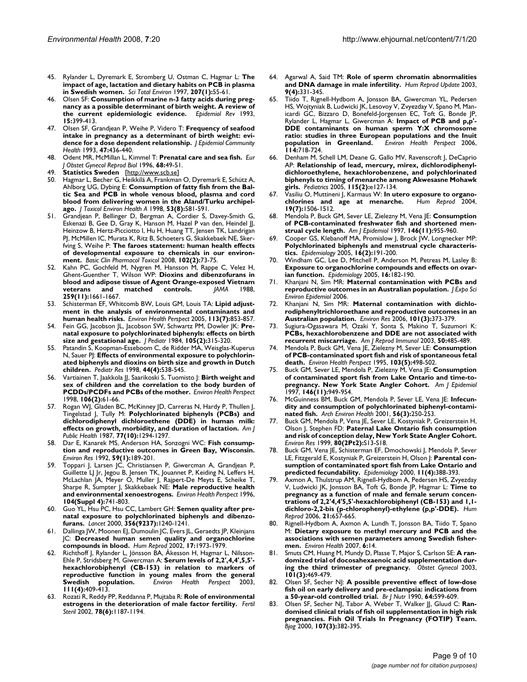- 45. Rylander L, Dyremark E, Stromberg U, Ostman C, Hagmar L: **[The](http://www.ncbi.nlm.nih.gov/entrez/query.fcgi?cmd=Retrieve&db=PubMed&dopt=Abstract&list_uids=9397600) [impact of age, lactation and dietary habits on PCB in plasma](http://www.ncbi.nlm.nih.gov/entrez/query.fcgi?cmd=Retrieve&db=PubMed&dopt=Abstract&list_uids=9397600) [in Swedish women.](http://www.ncbi.nlm.nih.gov/entrez/query.fcgi?cmd=Retrieve&db=PubMed&dopt=Abstract&list_uids=9397600)** *Sci Total Environ* 1997, **207(1):**55-61.
- 46. Olsen SF: **[Consumption of marine n-3 fatty acids during preg](http://www.ncbi.nlm.nih.gov/entrez/query.fcgi?cmd=Retrieve&db=PubMed&dopt=Abstract&list_uids=8174664)[nancy as a possible determinant of birth weight. A review of](http://www.ncbi.nlm.nih.gov/entrez/query.fcgi?cmd=Retrieve&db=PubMed&dopt=Abstract&list_uids=8174664) [the current epidemiologic evidence.](http://www.ncbi.nlm.nih.gov/entrez/query.fcgi?cmd=Retrieve&db=PubMed&dopt=Abstract&list_uids=8174664)** *Epidemiol Rev* 1993, **15:**399-413.
- 47. Olsen SF, Grandjean P, Weihe P, Videro T: **[Frequency of seafood](http://www.ncbi.nlm.nih.gov/entrez/query.fcgi?cmd=Retrieve&db=PubMed&dopt=Abstract&list_uids=8120495) [intake in pregnancy as a determinant of birth weight: evi](http://www.ncbi.nlm.nih.gov/entrez/query.fcgi?cmd=Retrieve&db=PubMed&dopt=Abstract&list_uids=8120495)[dence for a dose dependent relationship.](http://www.ncbi.nlm.nih.gov/entrez/query.fcgi?cmd=Retrieve&db=PubMed&dopt=Abstract&list_uids=8120495)** *J Epidemiol Community Health* 1993, **47:**436-440.
- 48. Odent MR, McMillan L, Kimmel T: **[Prenatal care and sea fish.](http://www.ncbi.nlm.nih.gov/entrez/query.fcgi?cmd=Retrieve&db=PubMed&dopt=Abstract&list_uids=8886681)** *Eur J Obstet Gynecol Reprod Biol* 1996, **68:**49-51.
- 49. **Statistics Sweden** [[http://www.scb.se\]](http://www.scb.se)
- 50. Hagmar L, Becher G, Heikkilä A, Frankman O, Dyremark E, Schütz A, Ahlborg UG, Dybing E: **[Consumption of fatty fish from the Bal](http://www.ncbi.nlm.nih.gov/entrez/query.fcgi?cmd=Retrieve&db=PubMed&dopt=Abstract&list_uids=9572157)[tic Sea and PCB in whole venous blood, plasma and cord](http://www.ncbi.nlm.nih.gov/entrez/query.fcgi?cmd=Retrieve&db=PubMed&dopt=Abstract&list_uids=9572157) blood from delivering women in the Aland/Turku archipel[ago.](http://www.ncbi.nlm.nih.gov/entrez/query.fcgi?cmd=Retrieve&db=PubMed&dopt=Abstract&list_uids=9572157)** *J Toxicol Environ Health A* 1998, **53(8):**581-591.
- 51. Grandjean P, Bellinger D, Bergman A, Cordier S, Davey-Smith G, Eskenazi B, Gee D, Gray K, Hanson M, Hazel P van den, Heindel JJ, Heinzow B, Hertz-Picciotto I, Hu H, Huang TT, Jensen TK, Landrigan PJ, McMillen IC, Murata K, Ritz B, Schoeters G, Skakkebaek NE, Skerfving S, Weihe P: **[The faroes statement: human health effects](http://www.ncbi.nlm.nih.gov/entrez/query.fcgi?cmd=Retrieve&db=PubMed&dopt=Abstract&list_uids=18226057) [of developmental exposure to chemicals in our environ](http://www.ncbi.nlm.nih.gov/entrez/query.fcgi?cmd=Retrieve&db=PubMed&dopt=Abstract&list_uids=18226057)[ment.](http://www.ncbi.nlm.nih.gov/entrez/query.fcgi?cmd=Retrieve&db=PubMed&dopt=Abstract&list_uids=18226057)** *Basic Clin Pharmacol Toxicol* 2008, **102(2):**73-75.
- 52. Kahn PC, Gochfeld M, Nygren M, Hansson M, Rappe C, Velez H, Ghent-Guenther T, Wilson WP: **[Dioxins and dibenzofurans in](http://www.ncbi.nlm.nih.gov/entrez/query.fcgi?cmd=Retrieve&db=PubMed&dopt=Abstract&list_uids=3343772) [blood and adipose tissue of Agent Orange-exposed Vietnam](http://www.ncbi.nlm.nih.gov/entrez/query.fcgi?cmd=Retrieve&db=PubMed&dopt=Abstract&list_uids=3343772) [veterans and matched controls.](http://www.ncbi.nlm.nih.gov/entrez/query.fcgi?cmd=Retrieve&db=PubMed&dopt=Abstract&list_uids=3343772)** *JAMA* 1988, **259(11):**1661-1667.
- 53. Schisterman EF, Whitcomb BW, Louis GM, Louis TA: **[Lipid adjust](http://www.ncbi.nlm.nih.gov/entrez/query.fcgi?cmd=Retrieve&db=PubMed&dopt=Abstract&list_uids=16002372)[ment in the analysis of environmental contaminants and](http://www.ncbi.nlm.nih.gov/entrez/query.fcgi?cmd=Retrieve&db=PubMed&dopt=Abstract&list_uids=16002372) [human health risks.](http://www.ncbi.nlm.nih.gov/entrez/query.fcgi?cmd=Retrieve&db=PubMed&dopt=Abstract&list_uids=16002372)** *Environ Health Perspect* 2005, **113(7):**853-857.
- 54. Fein GG, Jacobson JL, Jacobson SW, Schwartz PM, Dowler JK: **[Pre](http://www.ncbi.nlm.nih.gov/entrez/query.fcgi?cmd=Retrieve&db=PubMed&dopt=Abstract&list_uids=6431068)[natal exposure to polychlorinated biphenyls: effects on birth](http://www.ncbi.nlm.nih.gov/entrez/query.fcgi?cmd=Retrieve&db=PubMed&dopt=Abstract&list_uids=6431068) [size and gestational age.](http://www.ncbi.nlm.nih.gov/entrez/query.fcgi?cmd=Retrieve&db=PubMed&dopt=Abstract&list_uids=6431068)** *J Pediatr* 1984, **105(2):**315-320.
- 55. Patandin S, Koopman-Esseboom C, de Ridder MA, Weisglas-Kuperus N, Sauer PJ: **[Effects of environmental exposure to polychlorin](http://www.ncbi.nlm.nih.gov/entrez/query.fcgi?cmd=Retrieve&db=PubMed&dopt=Abstract&list_uids=9773843)[ated biphenyls and dioxins on birth size and growth in Dutch](http://www.ncbi.nlm.nih.gov/entrez/query.fcgi?cmd=Retrieve&db=PubMed&dopt=Abstract&list_uids=9773843) [children.](http://www.ncbi.nlm.nih.gov/entrez/query.fcgi?cmd=Retrieve&db=PubMed&dopt=Abstract&list_uids=9773843)** *Pediatr Res* 1998, **44(4):**538-545.
- 56. Vartiainen T, Jaakkola JJ, Saarikoski S, Tuomisto J: **[Birth weight and](http://www.ncbi.nlm.nih.gov/entrez/query.fcgi?cmd=Retrieve&db=PubMed&dopt=Abstract&list_uids=9432971) [sex of children and the correlation to the body burden of](http://www.ncbi.nlm.nih.gov/entrez/query.fcgi?cmd=Retrieve&db=PubMed&dopt=Abstract&list_uids=9432971) [PCDDs/PCDFs and PCBs of the mother.](http://www.ncbi.nlm.nih.gov/entrez/query.fcgi?cmd=Retrieve&db=PubMed&dopt=Abstract&list_uids=9432971)** *Environ Health Perspect* 1998, **106(2):**61-66.
- Rogan WJ, Gladen BC, McKinney JD, Carreras N, Hardy P, Thullen J, Tingelstad J, Tully M: **[Polychlorinated biphenyls \(PCBs\) and](http://www.ncbi.nlm.nih.gov/entrez/query.fcgi?cmd=Retrieve&db=PubMed&dopt=Abstract&list_uids=3115123) [dichlorodiphenyl dichloroethene \(DDE\) in human milk:](http://www.ncbi.nlm.nih.gov/entrez/query.fcgi?cmd=Retrieve&db=PubMed&dopt=Abstract&list_uids=3115123) [effects on growth, morbidity, and duration of lactation.](http://www.ncbi.nlm.nih.gov/entrez/query.fcgi?cmd=Retrieve&db=PubMed&dopt=Abstract&list_uids=3115123)** *Am J Public Health* 1987, **77(10):**1294-1297.
- 58. Dar E, Kanarek MS, Anderson HA, Sonzogni WC: **[Fish consump](http://www.ncbi.nlm.nih.gov/entrez/query.fcgi?cmd=Retrieve&db=PubMed&dopt=Abstract&list_uids=1425509)[tion and reproductive outcomes in Green Bay, Wisconsin.](http://www.ncbi.nlm.nih.gov/entrez/query.fcgi?cmd=Retrieve&db=PubMed&dopt=Abstract&list_uids=1425509)** *Environ Res* 1992, **59(1):**189-201.
- 59. Toppari J, Larsen JC, Christiansen P, Giwercman A, Grandjean P, Guillette LJ Jr, Jegou B, Jensen TK, Jouannet P, Keiding N, Leffers H, McLachlan JA, Meyer O, Muller J, Rajpert-De Meyts E, Scheike T, Sharpe R, Sumpter J, Skakkebaek NE: **[Male reproductive health](http://www.ncbi.nlm.nih.gov/entrez/query.fcgi?cmd=Retrieve&db=PubMed&dopt=Abstract&list_uids=8880001) [and environmental xenoestrogens.](http://www.ncbi.nlm.nih.gov/entrez/query.fcgi?cmd=Retrieve&db=PubMed&dopt=Abstract&list_uids=8880001)** *Environ Health Perspect* 1996, **104(Suppl 4):**741-803.
- 60. Guo YL, Hsu PC, Hsu CC, Lambert GH: **[Semen quality after pre](http://www.ncbi.nlm.nih.gov/entrez/query.fcgi?cmd=Retrieve&db=PubMed&dopt=Abstract&list_uids=11072947)[natal exposure to polychlorinated biphenyls and dibenzo](http://www.ncbi.nlm.nih.gov/entrez/query.fcgi?cmd=Retrieve&db=PubMed&dopt=Abstract&list_uids=11072947)[furans.](http://www.ncbi.nlm.nih.gov/entrez/query.fcgi?cmd=Retrieve&db=PubMed&dopt=Abstract&list_uids=11072947)** *Lancet* 2000, **356(9237):**1240-1241.
- Dallinga JW, Moonen EJ, Dumoulin JC, Evers JL, Geraedts JP, Kleinjans JC: **[Decreased human semen quality and organochlorine](http://www.ncbi.nlm.nih.gov/entrez/query.fcgi?cmd=Retrieve&db=PubMed&dopt=Abstract&list_uids=12151423) [compounds in blood.](http://www.ncbi.nlm.nih.gov/entrez/query.fcgi?cmd=Retrieve&db=PubMed&dopt=Abstract&list_uids=12151423)** *Hum Reprod* 2002, **17:**1973-1979.
- Richthoff J, Rylander L, Jönsson BA, Åkesson H, Hagmar L, Nilsson-Ehle P, Stridsberg M, Giwercman A: **[Serum levels of 2,2',4,4',5,5'](http://www.ncbi.nlm.nih.gov/entrez/query.fcgi?cmd=Retrieve&db=PubMed&dopt=Abstract&list_uids=12676591) [hexachlorobiphenyl \(CB-153\) in relation to markers of](http://www.ncbi.nlm.nih.gov/entrez/query.fcgi?cmd=Retrieve&db=PubMed&dopt=Abstract&list_uids=12676591) reproductive function in young males from the general [Swedish population.](http://www.ncbi.nlm.nih.gov/entrez/query.fcgi?cmd=Retrieve&db=PubMed&dopt=Abstract&list_uids=12676591)** *Environ Health Perspect* 2003, **Swedish population.**<br>111(4):409-413.
- 63. Rozati R, Reddy PP, Reddanna P, Mujtaba R: **[Role of environmental](http://www.ncbi.nlm.nih.gov/entrez/query.fcgi?cmd=Retrieve&db=PubMed&dopt=Abstract&list_uids=12477510) [estrogens in the deterioration of male factor fertility.](http://www.ncbi.nlm.nih.gov/entrez/query.fcgi?cmd=Retrieve&db=PubMed&dopt=Abstract&list_uids=12477510)** *Fertil Steril* 2002, **78(6):**1187-1194.
- 64. Agarwal A, Said TM: **[Role of sperm chromatin abnormalities](http://www.ncbi.nlm.nih.gov/entrez/query.fcgi?cmd=Retrieve&db=PubMed&dopt=Abstract&list_uids=12926527) [and DNA damage in male infertility.](http://www.ncbi.nlm.nih.gov/entrez/query.fcgi?cmd=Retrieve&db=PubMed&dopt=Abstract&list_uids=12926527)** *Hum Reprod Update* 2003, **9(4):**331-345.
- 65. Tiido T, Rignell-Hydbom A, Jonsson BA, Giwercman YL, Pedersen HS, Wojtyniak B, Ludwicki JK, Lesovoy V, Zvyezday V, Spano M, Manicardi GC, Bizzaro D, Bonefeld-Jorgensen EC, Toft G, Bonde JP, Rylander L, Hagmar L, Giwercman A: **[Impact of PCB and p,p'-](http://www.ncbi.nlm.nih.gov/entrez/query.fcgi?cmd=Retrieve&db=PubMed&dopt=Abstract&list_uids=16675426) [DDE contaminants on human sperm Y:X chromosome](http://www.ncbi.nlm.nih.gov/entrez/query.fcgi?cmd=Retrieve&db=PubMed&dopt=Abstract&list_uids=16675426) ratio: studies in three European populations and the Inuit [population in Greenland.](http://www.ncbi.nlm.nih.gov/entrez/query.fcgi?cmd=Retrieve&db=PubMed&dopt=Abstract&list_uids=16675426)** *Environ Health Perspect* 2006, **114:**718-724.
- 66. Denham M, Schell LM, Deane G, Gallo MV, Ravenscroft J, DeCaprio AP: **[Relationship of lead, mercury, mirex, dichlorodiphenyl](http://www.ncbi.nlm.nih.gov/entrez/query.fcgi?cmd=Retrieve&db=PubMed&dopt=Abstract&list_uids=15653789)[dichloroethylene, hexachlorobenzene, and polychlorinated](http://www.ncbi.nlm.nih.gov/entrez/query.fcgi?cmd=Retrieve&db=PubMed&dopt=Abstract&list_uids=15653789) biphenyls to timing of menarche among Akwesasne Mohawk [girls.](http://www.ncbi.nlm.nih.gov/entrez/query.fcgi?cmd=Retrieve&db=PubMed&dopt=Abstract&list_uids=15653789)** *Pediatrics* 2005, **115(2):**e127-134.
- 67. Vasiliu O, Muttineni J, Karmaus W: **[In utero exposure to organo](http://www.ncbi.nlm.nih.gov/entrez/query.fcgi?cmd=Retrieve&db=PubMed&dopt=Abstract&list_uids=15131079)[chlorines and age at menarche.](http://www.ncbi.nlm.nih.gov/entrez/query.fcgi?cmd=Retrieve&db=PubMed&dopt=Abstract&list_uids=15131079)** *Hum Reprod* 2004, **19(7):**1506-1512.
- 68. Mendola P, Buck GM, Sever LE, Zielezny M, Vena JE: **[Consumption](http://www.ncbi.nlm.nih.gov/entrez/query.fcgi?cmd=Retrieve&db=PubMed&dopt=Abstract&list_uids=9400337) [of PCB-contaminated freshwater fish and shortened men](http://www.ncbi.nlm.nih.gov/entrez/query.fcgi?cmd=Retrieve&db=PubMed&dopt=Abstract&list_uids=9400337)[strual cycle length.](http://www.ncbi.nlm.nih.gov/entrez/query.fcgi?cmd=Retrieve&db=PubMed&dopt=Abstract&list_uids=9400337)** *Am J Epidemiol* 1997, **146(11):**955-960.
- 69. Cooper GS, Klebanoff MA, Promislow J, Brock JW, Longnecker MP: **[Polychlorinated biphenyls and menstrual cycle characteris](http://www.ncbi.nlm.nih.gov/entrez/query.fcgi?cmd=Retrieve&db=PubMed&dopt=Abstract&list_uids=15703533)[tics.](http://www.ncbi.nlm.nih.gov/entrez/query.fcgi?cmd=Retrieve&db=PubMed&dopt=Abstract&list_uids=15703533)** *Epidemiology* 2005, **16(2):**191-200.
- 70. Windham GC, Lee D, Mitchell P, Anderson M, Petreas M, Lasley B: **[Exposure to organochlorine compounds and effects on ovar](http://www.ncbi.nlm.nih.gov/entrez/query.fcgi?cmd=Retrieve&db=PubMed&dopt=Abstract&list_uids=15703532)[ian function.](http://www.ncbi.nlm.nih.gov/entrez/query.fcgi?cmd=Retrieve&db=PubMed&dopt=Abstract&list_uids=15703532)** *Epidemiology* 2005, **16:**182-190.
- 71. Khanjani N, Sim MR: **[Maternal contamination with PCBs and](http://www.ncbi.nlm.nih.gov/entrez/query.fcgi?cmd=Retrieve&db=PubMed&dopt=Abstract&list_uids=16773124) [reproductive outcomes in an Australian population.](http://www.ncbi.nlm.nih.gov/entrez/query.fcgi?cmd=Retrieve&db=PubMed&dopt=Abstract&list_uids=16773124)** *J Expo Sci Environ Epidemiol* 2006.
- 72. Khanjani N, Sim MR: **[Maternal contamination with dichlo](http://www.ncbi.nlm.nih.gov/entrez/query.fcgi?cmd=Retrieve&db=PubMed&dopt=Abstract&list_uids=16360142)[rodiphenyltrichloroethane and reproductive outcomes in an](http://www.ncbi.nlm.nih.gov/entrez/query.fcgi?cmd=Retrieve&db=PubMed&dopt=Abstract&list_uids=16360142) [Australian population.](http://www.ncbi.nlm.nih.gov/entrez/query.fcgi?cmd=Retrieve&db=PubMed&dopt=Abstract&list_uids=16360142)** *Environ Res* 2006, **101(3):**373-379.
- Sugiura-Ogasawara M, Ozaki Y, Sonta S, Makino T, Suzumori K: **[PCBs, hexachlorobenzene and DDE are not associated with](http://www.ncbi.nlm.nih.gov/entrez/query.fcgi?cmd=Retrieve&db=PubMed&dopt=Abstract&list_uids=14750556) [recurrent miscarriage.](http://www.ncbi.nlm.nih.gov/entrez/query.fcgi?cmd=Retrieve&db=PubMed&dopt=Abstract&list_uids=14750556)** *Am J Reprod Immunol* 2003, **50:**485-489.
- 74. Mendola P, Buck GM, Vena JE, Zielezny M, Sever LE: **[Consumption](http://www.ncbi.nlm.nih.gov/entrez/query.fcgi?cmd=Retrieve&db=PubMed&dopt=Abstract&list_uids=7656880) [of PCB-contaminated sport fish and risk of spontaneous fetal](http://www.ncbi.nlm.nih.gov/entrez/query.fcgi?cmd=Retrieve&db=PubMed&dopt=Abstract&list_uids=7656880) [death.](http://www.ncbi.nlm.nih.gov/entrez/query.fcgi?cmd=Retrieve&db=PubMed&dopt=Abstract&list_uids=7656880)** *Environ Health Perspect* 1995, **103(5):**498-502.
- 75. Buck GM, Sever LE, Mendola P, Zielezny M, Vena JE: **[Consumption](http://www.ncbi.nlm.nih.gov/entrez/query.fcgi?cmd=Retrieve&db=PubMed&dopt=Abstract&list_uids=9400336) [of contaminated sport fish from Lake Ontario and time-to](http://www.ncbi.nlm.nih.gov/entrez/query.fcgi?cmd=Retrieve&db=PubMed&dopt=Abstract&list_uids=9400336)[pregnancy. New York State Angler Cohort.](http://www.ncbi.nlm.nih.gov/entrez/query.fcgi?cmd=Retrieve&db=PubMed&dopt=Abstract&list_uids=9400336)** *Am J Epidemiol* 1997, **146(11):**949-954.
- 76. McGuinness BM, Buck GM, Mendola P, Sever LE, Vena JE: **[Infecun](http://www.ncbi.nlm.nih.gov/entrez/query.fcgi?cmd=Retrieve&db=PubMed&dopt=Abstract&list_uids=11480501)[dity and consumption of polychlorinated biphenyl-contami](http://www.ncbi.nlm.nih.gov/entrez/query.fcgi?cmd=Retrieve&db=PubMed&dopt=Abstract&list_uids=11480501)[nated fish.](http://www.ncbi.nlm.nih.gov/entrez/query.fcgi?cmd=Retrieve&db=PubMed&dopt=Abstract&list_uids=11480501)** *Arch Environ Health* 2001, **56(3):**250-253.
- Buck GM, Mendola P, Vena JE, Sever LE, Kostyniak P, Greizerstein H, Olson J, Stephen FD: **[Paternal Lake Ontario fish consumption](http://www.ncbi.nlm.nih.gov/entrez/query.fcgi?cmd=Retrieve&db=PubMed&dopt=Abstract&list_uids=10092415) [and risk of conception delay, New York State Angler Cohort.](http://www.ncbi.nlm.nih.gov/entrez/query.fcgi?cmd=Retrieve&db=PubMed&dopt=Abstract&list_uids=10092415)** *Environ Res* 1999, **80(2Pt2):**S13-S18.
- 78. Buck GM, Vena JE, Schisterman EF, Dmochowski J, Mendola P, Sever LE, Fitzgerald E, Kostyniak P, Greizerstein H, Olson J: **[Parental con](http://www.ncbi.nlm.nih.gov/entrez/query.fcgi?cmd=Retrieve&db=PubMed&dopt=Abstract&list_uids=10874544)[sumption of contaminated sport fish from Lake Ontario and](http://www.ncbi.nlm.nih.gov/entrez/query.fcgi?cmd=Retrieve&db=PubMed&dopt=Abstract&list_uids=10874544) [predicted fecundability.](http://www.ncbi.nlm.nih.gov/entrez/query.fcgi?cmd=Retrieve&db=PubMed&dopt=Abstract&list_uids=10874544)** *Epidemiology* 2000, **11(4):**388-393.
- Axmon A, Thulstrup AM, Rignell-Hydbom A, Pedersen HS, Zvyezday V, Ludwicki JK, Jonsson BA, Toft G, Bonde JP, Hagmar L: **[Time to](http://www.ncbi.nlm.nih.gov/entrez/query.fcgi?cmd=Retrieve&db=PubMed&dopt=Abstract&list_uids=16361295) [pregnancy as a function of male and female serum concen](http://www.ncbi.nlm.nih.gov/entrez/query.fcgi?cmd=Retrieve&db=PubMed&dopt=Abstract&list_uids=16361295)trations of 2,2'4,4'5,5'-hexachlorobiphenyl (CB-153) and 1,1 [dichloro-2,2-bis \(p-chlorophenyl\)-ethylene \(p,p'-DDE\).](http://www.ncbi.nlm.nih.gov/entrez/query.fcgi?cmd=Retrieve&db=PubMed&dopt=Abstract&list_uids=16361295)** *Hum Reprod* 2006, **21:**657-665.
- Rignell-Hydbom A, Axmon A, Lundh T, Jonsson BA, Tiido T, Spano M: **[Dietary exposure to methyl mercury and PCB and the](http://www.ncbi.nlm.nih.gov/entrez/query.fcgi?cmd=Retrieve&db=PubMed&dopt=Abstract&list_uids=17488503) [associations with semen parameters among Swedish fisher](http://www.ncbi.nlm.nih.gov/entrez/query.fcgi?cmd=Retrieve&db=PubMed&dopt=Abstract&list_uids=17488503)[men.](http://www.ncbi.nlm.nih.gov/entrez/query.fcgi?cmd=Retrieve&db=PubMed&dopt=Abstract&list_uids=17488503)** *Environ Health* 2007, **6:**14.
- Smuts CM, Huang M, Mundy D, Plasse T, Major S, Carlson SE: [A ran](http://www.ncbi.nlm.nih.gov/entrez/query.fcgi?cmd=Retrieve&db=PubMed&dopt=Abstract&list_uids=12636950)**[domized trial of docosahexaenoic acid supplementation dur](http://www.ncbi.nlm.nih.gov/entrez/query.fcgi?cmd=Retrieve&db=PubMed&dopt=Abstract&list_uids=12636950)[ing the third trimester of pregnancy.](http://www.ncbi.nlm.nih.gov/entrez/query.fcgi?cmd=Retrieve&db=PubMed&dopt=Abstract&list_uids=12636950)** *Obstet Gynecol* 2003, **101(3):**469-479.
- 82. Olsen SF, Secher NJ: **[A possible preventive effect of low-dose](http://www.ncbi.nlm.nih.gov/entrez/query.fcgi?cmd=Retrieve&db=PubMed&dopt=Abstract&list_uids=2265175) [fish oil on early delivery and pre-eclampsia: indications from](http://www.ncbi.nlm.nih.gov/entrez/query.fcgi?cmd=Retrieve&db=PubMed&dopt=Abstract&list_uids=2265175) [a 50-year-old controlled trial.](http://www.ncbi.nlm.nih.gov/entrez/query.fcgi?cmd=Retrieve&db=PubMed&dopt=Abstract&list_uids=2265175)** *Br J Nutr* 1990, **64:**599-609.
- Olsen SF, Secher NJ, Tabor A, Weber T, Walker JJ, Gluud C: [Ran](http://www.ncbi.nlm.nih.gov/entrez/query.fcgi?cmd=Retrieve&db=PubMed&dopt=Abstract&list_uids=10740336)**[domised clinical trials of fish oil supplementation in high risk](http://www.ncbi.nlm.nih.gov/entrez/query.fcgi?cmd=Retrieve&db=PubMed&dopt=Abstract&list_uids=10740336) pregnancies. Fish Oil Trials In Pregnancy (FOTIP) Team.** *Bjog* 2000, **107(3):**382-395.